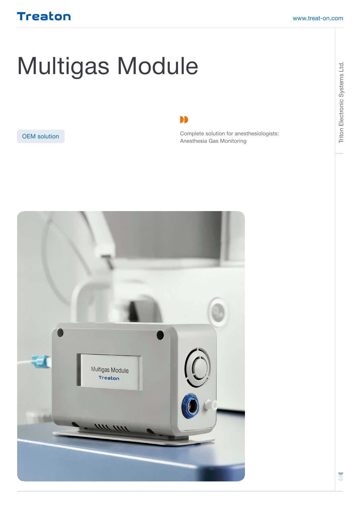Triton Electronic Systems Ltd.

Triton Electronic Systems Ltd.

## Treaton

# Multigas Module

#### [OEM solution](http://)

DD

Complete solution for anesthesiologists: Anesthesia Gas Monitoring

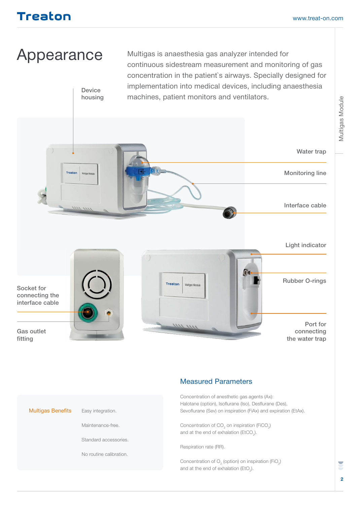## Treaton

# Appearance

Device housing

Multigas is anaesthesia gas analyzer intended for continuous sidestream measurement and monitoring of gas concentration in the patient`s airways. Specially designed for implementation into medical devices, including anaesthesia machines, patient monitors and ventilators.





#### Measured Parameters

Concentration of anesthetic gas agents (Ax): Halotane (option), Isoflurane (Iso), Desflurane (Des), Sevoflurane (Sev) on inspiration (FiAx) and expiration (EtAx).

Concentration of  $CO<sub>2</sub>$  on inspiration (FiCO<sub>2</sub>) and at the end of exhalation ( $E$ tCO<sub>2</sub>).

Respiration rate (RR).

Concentration of  $O_2$  (option) on inspiration (FiO<sub>2</sub>) and at the end of exhalation (EtO<sub>2</sub>).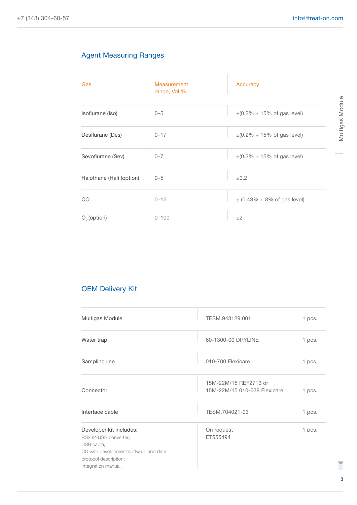#### Agent Measuring Ranges

| Gas                      | Measurement<br>range, Vol % | Accuracy                                  |
|--------------------------|-----------------------------|-------------------------------------------|
| Isoflurane (Iso)         | $0 - 5$                     | $\pm (0.2\% + 15\% \text{ of gas level})$ |
| Desflurane (Des)         | $0 - 17$                    | $\pm (0.2\% + 15\% \text{ of gas level})$ |
| Sevoflurane (Sev)        | $0 - 7$                     | $\pm (0.2\% + 15\% \text{ of gas level})$ |
| Halothane (Hal) (option) | $0 - 5$                     | $\pm 0.2$                                 |
| CO <sub>2</sub>          | $0 - 15$                    | $\pm (0.43\% + 8\% \text{ of gas level})$ |
| $O2$ (option)            | $0 - 100$                   | ±2                                        |

#### OEM Delivery Kit

| Multigas Module                                                                                                                                        | TESM.943129.001                                       | 1 pcs. |
|--------------------------------------------------------------------------------------------------------------------------------------------------------|-------------------------------------------------------|--------|
| Water trap                                                                                                                                             | 60-1300-00 DRYLINE                                    | 1 pcs. |
| Sampling line                                                                                                                                          | 010-700 Flexicare                                     | 1 pcs. |
| Connector                                                                                                                                              | 15M-22M/15 REF2713 or<br>15M-22M/15 010-638 Flexicare | 1 pcs. |
| Interface cable                                                                                                                                        | TESM.704021-03                                        | 1 pcs. |
| Developer kit includes:<br>RS232-USB converter;<br>USB cable;<br>CD with development software and data<br>protocol description;<br>Integration manual. | On request<br>ET555494                                | 1 pcs. |

E **3**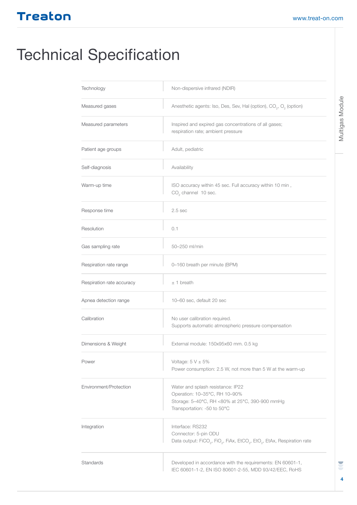## Treaton

# Technical Specification

| Technology                | Non-dispersive infrared (NDIR)                                                                                                                                      |  |
|---------------------------|---------------------------------------------------------------------------------------------------------------------------------------------------------------------|--|
| Measured gases            | Anesthetic agents: Iso, Des, Sev, Hal (option), CO <sub>2</sub> , O <sub>2</sub> (option)                                                                           |  |
| Measured parameters       | Inspired and expired gas concentrations of all gases;<br>respiration rate; ambient pressure                                                                         |  |
| Patient age groups        | Adult, pediatric                                                                                                                                                    |  |
| Self-diagnosis            | Availability                                                                                                                                                        |  |
| Warm-up time              | ISO accuracy within 45 sec. Full accuracy within 10 min,<br>$CO2$ channel 10 sec.                                                                                   |  |
| Response time             | 2.5 <sub>sec</sub>                                                                                                                                                  |  |
| Resolution                | 0.1                                                                                                                                                                 |  |
| Gas sampling rate         | 50-250 ml/min                                                                                                                                                       |  |
| Respiration rate range    | 0-160 breath per minute (BPM)                                                                                                                                       |  |
| Respiration rate accuracy | $± 1$ breath                                                                                                                                                        |  |
| Apnea detection range     | 10-60 sec, default 20 sec                                                                                                                                           |  |
| Calibration               | No user calibration required.<br>Supports automatic atmospheric pressure compensation                                                                               |  |
| Dimensions & Weight       | External module: 150x95x60 mm. 0.5 kg                                                                                                                               |  |
| Power                     | Voltage: $5 V \pm 5\%$<br>Power consumption: 2.5 W, not more than 5 W at the warm-up                                                                                |  |
| Environment/Protection    | Water and splash resistance: IP22<br>Operation: 10-35°C, RH 10-90%<br>Storage: 5-40°C, RH <80% at 25°C, 390-900 mmHg<br>Transportation: -50 to 50°C                 |  |
| Integration               | Interface: RS232<br>Connector: 5-pin ODU<br>Data output: FiCO <sub>2</sub> , FiO <sub>2</sub> , FiAx, EtCO <sub>2</sub> , EtO <sub>2</sub> , EtAx, Respiration rate |  |
| Standards                 | Developed in accordance with the requirements: EN 60601-1,<br>IEC 60601-1-2, EN ISO 80601-2-55, MDD 93/42/EEC, RoHS                                                 |  |

U **4**